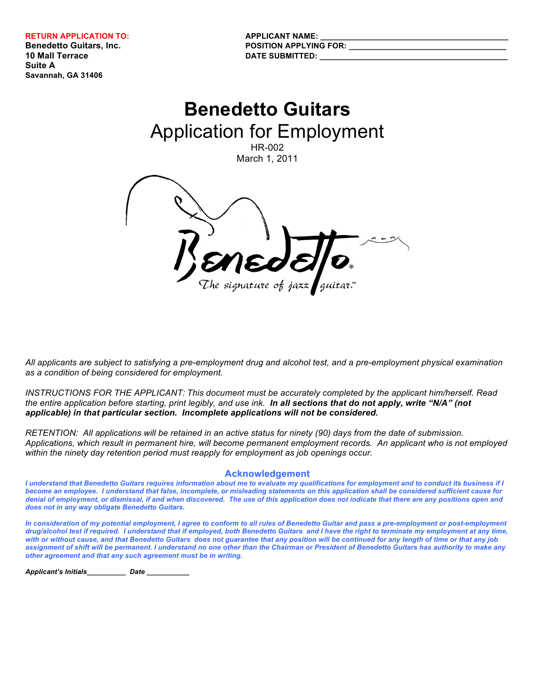**10 Mall Terrace DATE SUBMITTED: Suite A Savannah, GA 31406**

**Benedetto Guitars, Inc. POSITION APPLYING FOR: POSITION** 

# **Benedetto Guitars** Application for Employment HR-002 March 1, 2011

*All applicants are subject to satisfying a pre-employment drug and alcohol test, and a pre-employment physical examination as a condition of being considered for employment.* 

*INSTRUCTIONS FOR THE APPLICANT: This document must be accurately completed by the applicant him/herself. Read the entire application before starting, print legibly, and use ink. In all sections that do not apply, write "N/A" (not applicable) in that particular section. Incomplete applications will not be considered.*

*RETENTION: All applications will be retained in an active status for ninety (90) days from the date of submission. Applications, which result in permanent hire, will become permanent employment records. An applicant who is not employed within the ninety day retention period must reapply for employment as job openings occur.*

#### **Acknowledgement**

*I understand that Benedetto Guitars requires information about me to evaluate my qualifications for employment and to conduct its business if I become an employee. I understand that false, incomplete, or misleading statements on this application shall be considered sufficient cause for denial of employment, or dismissal, if and when discovered. The use of this application does not indicate that there are any positions open and does not in any way obligate Benedetto Guitars.*

*In consideration of my potential employment, I agree to conform to all rules of Benedetto Guitar and pass a pre-employment or post-employment drug/alcohol test if required. I understand that if employed, both Benedetto Guitars and I have the right to terminate my employment at any time, with or without cause, and that Benedetto Guitars does not guarantee that any position will be continued for any length of time or that any job assignment of shift will be permanent. I understand no one other than the Chairman or President of Benedetto Guitars has authority to make any other agreement and that any such agreement must be in writing.*

*Applicant's Initials\_\_\_\_\_\_\_\_\_\_ Date \_\_\_\_\_\_\_\_\_\_\_*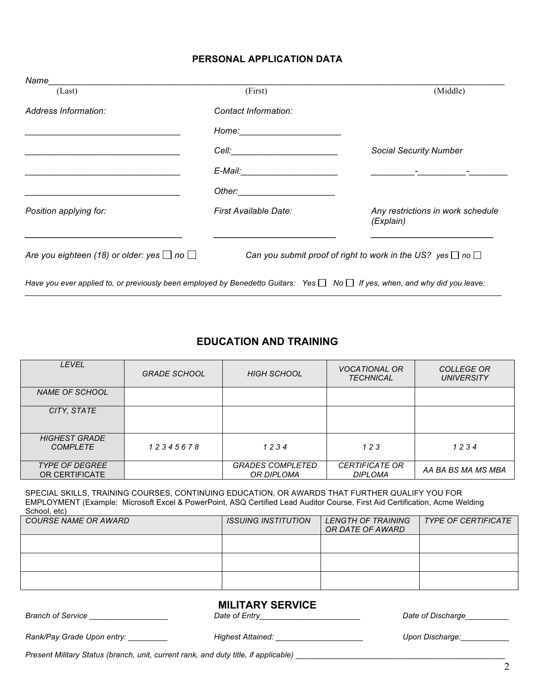## **PERSONAL APPLICATION DATA**

| (First)                                                                                                                                                                                                                        | (Middle)                                                              |
|--------------------------------------------------------------------------------------------------------------------------------------------------------------------------------------------------------------------------------|-----------------------------------------------------------------------|
| Contact Information:                                                                                                                                                                                                           |                                                                       |
|                                                                                                                                                                                                                                |                                                                       |
| Cell: <b>Cell</b> : <b>Cell</b>                                                                                                                                                                                                | <b>Social Security Number</b>                                         |
| E-Mail: E-Mail: E-Mail: E-Mail: E-Mail: E-Mail: E-Mail: E-Mail: E-Mail: E-Mail: E-Mail: E-Mail: E-Mail: E-Mail: E-Mail: E-Mail: E-Mail: E-Mail: E-Mail: E-Mail: E-Mail: E-Mail: E-Mail: E-Mail: E-Mail: E-Mail: E-Mail: E-Mail |                                                                       |
|                                                                                                                                                                                                                                |                                                                       |
| First Available Date:                                                                                                                                                                                                          | Any restrictions in work schedule<br>(Explain)                        |
| Are you eighteen (18) or older: yes $\Box$ no $\Box$                                                                                                                                                                           | Can you submit proof of right to work in the US? yes $\Box$ no $\Box$ |
|                                                                                                                                                                                                                                |                                                                       |

## **EDUCATION AND TRAINING**

*\_\_\_\_\_\_\_\_\_\_\_\_\_\_\_\_\_\_\_\_\_\_\_\_\_\_\_\_\_\_\_\_\_\_\_\_\_\_\_\_\_\_\_\_\_\_\_\_\_\_\_\_\_\_\_\_\_\_\_\_\_\_\_\_\_\_\_\_\_\_\_\_\_\_\_\_\_\_\_\_\_\_\_\_\_\_\_\_\_\_\_\_\_\_\_\_\_\_\_\_\_\_\_\_\_\_\_\_\_*

| <b>LEVEL</b>                            | <b>GRADE SCHOOL</b> | <b>HIGH SCHOOL</b>                           | <b>VOCATIONAL OR</b><br><b>TECHNICAL</b> | <b>COLLEGE OR</b><br><b>UNIVERSITY</b> |
|-----------------------------------------|---------------------|----------------------------------------------|------------------------------------------|----------------------------------------|
| <b>NAME OF SCHOOL</b>                   |                     |                                              |                                          |                                        |
| CITY, STATE                             |                     |                                              |                                          |                                        |
| <b>HIGHEST GRADE</b><br><b>COMPLETE</b> | 12345678            | 1234                                         | 123                                      | 1234                                   |
| <b>TYPE OF DEGREE</b><br>OR CERTIFICATE |                     | <b>GRADES COMPLETED</b><br><b>OR DIPLOMA</b> | <b>CERTIFICATE OR</b><br><b>DIPLOMA</b>  | AA BA BS MA MS MBA                     |

SPECIAL SKILLS, TRAINING COURSES, CONTINUING EDUCATION, OR AWARDS THAT FURTHER QUALIFY YOU FOR EMPLOYMENT (Example: Microsoft Excel & PowerPoint, ASQ Certified Lead Auditor Course, First Aid Certification, Acme Welding School, etc)

| <b>COURSE NAME OR AWARD</b> | <i>ISSUING INSTITUTION</i> | LENGTH OF TRAINING<br>OR DATE OF AWARD | <b>TYPE OF CERTIFICATE</b> |
|-----------------------------|----------------------------|----------------------------------------|----------------------------|
|                             |                            |                                        |                            |
|                             |                            |                                        |                            |
|                             |                            |                                        |                            |

# **MILITARY SERVICE**

*Branch of Service \_\_\_\_\_\_\_\_\_\_\_\_\_\_\_\_\_\_ Date of Entry\_\_\_\_\_\_\_\_\_\_\_\_\_\_\_\_\_\_\_\_\_\_\_ Date of Discharge\_\_\_\_\_\_\_\_\_\_*

*Rank/Pay Grade Upon entry: \_\_\_\_\_\_\_\_\_ Highest Attained: \_\_\_\_\_\_\_\_\_\_\_\_\_\_\_\_\_\_\_\_ Upon Discharge:\_\_\_\_\_\_\_\_\_\_\_*

*Present Military Status (branch, unit, current rank, and duty title, if applicable) \_\_\_\_\_\_\_\_\_\_\_\_\_\_\_\_\_\_\_\_\_\_\_\_\_\_\_\_\_\_\_\_\_\_\_\_\_\_\_\_\_\_\_\_\_\_\_\_*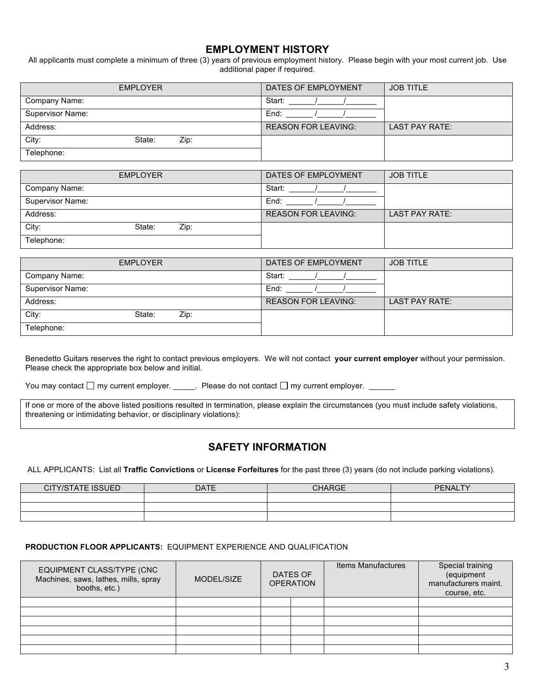## **EMPLOYMENT HISTORY**

All applicants must complete a minimum of three (3) years of previous employment history. Please begin with your most current job. Use additional paper if required.

|                  | <b>EMPLOYER</b> |      | DATES OF EMPLOYMENT        | <b>JOB TITLE</b>      |
|------------------|-----------------|------|----------------------------|-----------------------|
| Company Name:    |                 |      | Start:                     |                       |
| Supervisor Name: |                 |      | End:                       |                       |
| Address:         |                 |      | <b>REASON FOR LEAVING:</b> | <b>LAST PAY RATE:</b> |
| City:            | State:          | Zip: |                            |                       |
| Telephone:       |                 |      |                            |                       |

| <b>EMPLOYER</b>         | DATES OF EMPLOYMENT        | <b>JOB TITLE</b> |
|-------------------------|----------------------------|------------------|
| Company Name:           | Start:                     |                  |
| Supervisor Name:        | End:                       |                  |
| Address:                | <b>REASON FOR LEAVING:</b> | LAST PAY RATE:   |
| City:<br>State:<br>Zip: |                            |                  |
| Telephone:              |                            |                  |

| <b>EMPLOYER</b>         | DATES OF EMPLOYMENT        | <b>JOB TITLE</b>      |
|-------------------------|----------------------------|-----------------------|
| Company Name:           | Start:                     |                       |
| Supervisor Name:        | End:                       |                       |
| Address:                | <b>REASON FOR LEAVING:</b> | <b>LAST PAY RATE:</b> |
| City:<br>Zip:<br>State: |                            |                       |
| Telephone:              |                            |                       |

Benedetto Guitars reserves the right to contact previous employers. We will not contact **your current employer** without your permission. Please check the appropriate box below and initial.

You may contact  $\square$  my current employer. \_\_\_\_\_. Please do not contact  $\square$  my current employer. \_\_\_\_

If one or more of the above listed positions resulted in termination, please explain the circumstances (you must include safety violations, threatening or intimidating behavior, or disciplinary violations):

## **SAFETY INFORMATION**

ALL APPLICANTS: List all **Traffic Convictions** or **License Forfeitures** for the past three (3) years (do not include parking violations).

| <b>CITY/STATE ISSUED</b> | <b>DATE</b> | <b>CHARGE</b> | <b>PENALTY</b> |
|--------------------------|-------------|---------------|----------------|
|                          |             |               |                |
|                          |             |               |                |
|                          |             |               |                |

#### **PRODUCTION FLOOR APPLICANTS:** EQUIPMENT EXPERIENCE AND QUALIFICATION

| EQUIPMENT CLASS/TYPE (CNC<br>Machines, saws, lathes, mills, spray<br>booths, etc.) | MODEL/SIZE | DATES OF<br><b>OPERATION</b> |  | <b>Items Manufactures</b> | Special training<br>(equipment<br>manufacturers maint.<br>course, etc. |
|------------------------------------------------------------------------------------|------------|------------------------------|--|---------------------------|------------------------------------------------------------------------|
|                                                                                    |            |                              |  |                           |                                                                        |
|                                                                                    |            |                              |  |                           |                                                                        |
|                                                                                    |            |                              |  |                           |                                                                        |
|                                                                                    |            |                              |  |                           |                                                                        |
|                                                                                    |            |                              |  |                           |                                                                        |
|                                                                                    |            |                              |  |                           |                                                                        |